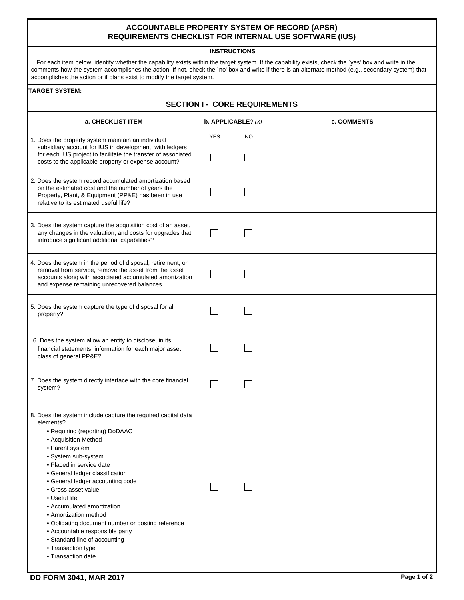## **ACCOUNTABLE PROPERTY SYSTEM OF RECORD (APSR) REQUIREMENTS CHECKLIST FOR INTERNAL USE SOFTWARE (IUS)**

## **INSTRUCTIONS**

For each item below, identify whether the capability exists within the target system. If the capability exists, check the `yes' box and write in the comments how the system accomplishes the action. If not, check the `no' box and write if there is an alternate method (e.g., secondary system) that accomplishes the action or if plans exist to modify the target system.

## **TARGET SYSTEM:**

| <b>SECTION I - CORE REQUIREMENTS</b>                                                                                                                                                                                                                                                                                                                                                                                                                                                                                                                 |                      |    |             |  |  |  |
|------------------------------------------------------------------------------------------------------------------------------------------------------------------------------------------------------------------------------------------------------------------------------------------------------------------------------------------------------------------------------------------------------------------------------------------------------------------------------------------------------------------------------------------------------|----------------------|----|-------------|--|--|--|
| a. CHECKLIST ITEM                                                                                                                                                                                                                                                                                                                                                                                                                                                                                                                                    | b. APPLICABLE? $(X)$ |    | c. COMMENTS |  |  |  |
| 1. Does the property system maintain an individual                                                                                                                                                                                                                                                                                                                                                                                                                                                                                                   | <b>YES</b>           | NO |             |  |  |  |
| subsidiary account for IUS in development, with ledgers<br>for each IUS project to facilitate the transfer of associated<br>costs to the applicable property or expense account?                                                                                                                                                                                                                                                                                                                                                                     |                      |    |             |  |  |  |
| 2. Does the system record accumulated amortization based<br>on the estimated cost and the number of years the<br>Property, Plant, & Equipment (PP&E) has been in use<br>relative to its estimated useful life?                                                                                                                                                                                                                                                                                                                                       |                      |    |             |  |  |  |
| 3. Does the system capture the acquisition cost of an asset,<br>any changes in the valuation, and costs for upgrades that<br>introduce significant additional capabilities?                                                                                                                                                                                                                                                                                                                                                                          |                      |    |             |  |  |  |
| 4. Does the system in the period of disposal, retirement, or<br>removal from service, remove the asset from the asset<br>accounts along with associated accumulated amortization<br>and expense remaining unrecovered balances.                                                                                                                                                                                                                                                                                                                      |                      |    |             |  |  |  |
| 5. Does the system capture the type of disposal for all<br>property?                                                                                                                                                                                                                                                                                                                                                                                                                                                                                 |                      |    |             |  |  |  |
| 6. Does the system allow an entity to disclose, in its<br>financial statements, information for each major asset<br>class of general PP&E?                                                                                                                                                                                                                                                                                                                                                                                                           |                      |    |             |  |  |  |
| 7. Does the system directly interface with the core financial<br>system?                                                                                                                                                                                                                                                                                                                                                                                                                                                                             |                      |    |             |  |  |  |
| 8. Does the system include capture the required capital data<br>elements?<br>• Requiring (reporting) DoDAAC<br>• Acquisition Method<br>• Parent system<br>· System sub-system<br>• Placed in service date<br>• General ledger classification<br>• General ledger accounting code<br>• Gross asset value<br>• Useful life<br>• Accumulated amortization<br>• Amortization method<br>· Obligating document number or posting reference<br>• Accountable responsible party<br>• Standard line of accounting<br>• Transaction type<br>• Transaction date |                      |    |             |  |  |  |